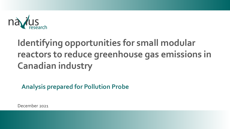

# **Identifying opportunities for small modular reactors to reduce greenhouse gas emissions in Canadian industry**

**Analysis prepared for Pollution Probe**

December 2021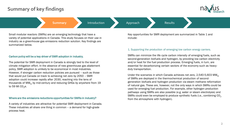# <span id="page-1-0"></span>**Summary of key findings**



**[Summary](#page-1-0) Allen Approach** [Introduction](#page-3-0) **Allen Approach** 

**Results** 

Small modular reactors (SMRs) are an emerging technology that have a variety of potential applications in Canada. This study focuses on their use in industry as a greenhouse gas emissions reduction solution. Key findings are summarized below.

### Carbon policy will be a key driver of SMR adoption in industry.

The potential for SMR deployment in Canada is strongly tied to the level of climate mitigation effort. In the absence of new greenhouse gas abatement policy, SMR adoption is unlikely to be economical in most industries. However, if stronger carbon reduction policies are pursued – such as those that would put Canada on track to achieving net zero by 2050 – SMR adoption could increase rapidly after 2030, reaching into the tens of thousands of  $MW_{th}$  by mid-century and reducing GHGs by anywhere from 19 to 59 Mt  $CO<sub>2</sub>e$ .

### Where are the emissions reductions opportunities for SMRs in industry?

A variety of industries are attractive for potential SMR deployment in Canada. These industries all share one thing in common – a demand for high-grade process heat.

Key opportunities for SMR deployment are summarized in Table 1 and include:

### 1. Supporting the production of emerging low carbon energy carriers.

SMRs can minimize the life cycle carbon intensity of emerging fuels, such as second-generation biofuels and hydrogen, by providing low carbon electricity and/or heat for the fuel production process. Emerging fuels, in turn, are essential for decarbonizing certain sectors of the economy such as heavyduty transportation.

Under the scenarios in which Canada achieves net zero,  $2,540-5,603$  MW<sub>th</sub> of SMRs are deployed in the thermochemical production of secondgeneration biofuels and hydrogen production via steam methane reformation of natural gas. These are, however, not the only ways in which SMRs could be used for emerging fuel production. For example, other hydrogen production pathways using SMRs are also possible (e.g. water or steam electrolysis) and SMRs could even be employed to produce synthetic fuels (i.e., combining  $CO<sub>2</sub>$ ) from the atmosphere with hydrogen).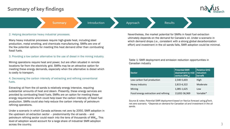# **Summary of key findings**



**[Summary](#page-1-0) Allen Approach** [Introduction](#page-3-0) Approach

Results

#### 2. Helping decarbonize heavy industrial processes.

Many heavy industrial processes require high-grade heat, including steel production, metal smelting, and chemicals manufacturing. SMRs are one of the few potential options for meeting this heat demand other than combusting fossil fuels.

### 3. Providing a low carbon alternative to the use of diesel in the mining industry.

Mining operations require heat and power, but are often situated in remote locations far from the electricity grid. SMRs may be an attractive option for meeting these energy demands, especially when the alternative is diesel which is costly to transport.

### 4. Decreasing the carbon intensity of extracting and refining conventional fuels.

Extracting oil from the oil sands is relatively energy intensive, requiring substantial amounts of heat and steam. Presently, these energy services are provided by combusting fossil fuels. SMRs are an option for meeting these energy requirements which could help lower the carbon intensity of fossil fuel production. SMRs could also help reduce the carbon intensity of petroleum refining operations.

Under a scenario in which Canada achieves net zero by 2050, SMR adoption in the upstream oil extraction sector – predominantly the oil sands – and petroleum refining sector could reach into the tens of thousands of  $MW_{th}$ . This level of adoption would account for a large share of industrial SMR adoption across the country.

Nevertheless, the market potential for SMRs in fossil fuel extraction ultimately depends on the demand for Canada's oil. Under a scenario in which demand drops (i.e., consistent with a strong global decarbonization effort) and investment in the oil sands falls, SMR adoption could be minimal.

Table 1: SMR deployment and emission reduction opportunities in Canadian industry

| Sector                                | <b>Potential SMR</b><br>deployment by mid-<br>century $(MW_{th})$ | <b>Relative GHG</b><br>reduction<br>benefit |
|---------------------------------------|-------------------------------------------------------------------|---------------------------------------------|
| Low carbon fuel production            | 2,540-5,603                                                       | High                                        |
| Heavy industry                        | 2,815-6,322                                                       | Moderate                                    |
| Mining                                | 1,085-1,625                                                       | Low                                         |
| Fossil energy extraction and refining | 13,832-36,969                                                     | Variable*                                   |

*Source & notes: Potential SMR deployment based on Navius forecast using gTech, net zero scenario. \*Depends on demand for Canadian oil and investment in the oil sands.*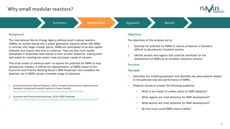# <span id="page-3-0"></span>**Why small modular reactors?**



[Summary](#page-1-0) **[Introduction](#page-3-0)** Approach Results

### **Background**

The International Atomic Energy Agency defines small modular reactors (SMRs) as nuclear plants with a power generation capacity below 300 MWe. In contrast with larger nuclear plants, SMRs are anticipated to be less capital intensive and require less time to construct. They are also more readily deployable in brownfield sites thanks to their smaller footprints, making them well suited for meeting low carbon heat and power needs of industry.

This study builds on previous work<sup>1</sup> to explore the potential for SMRs to help decarbonize industry. It refines the representation of SMRs based on the Economic and Finance Working Group's SMR Roadmap<sup>2</sup> and considers the potential use of SMRs across a broader range of industries.

- 1. EnviroEconomics& Navius Research. 2021. Emission and economic implications for Canada of using small modular reactors in heavy industry. [www.naviusresearch.com/publications/small-modular-reactors-2021/](http://www.naviusresearch.com/publications/small-modular-reactors-2021/)
- 2. Economic and Finance Working Group. 2018. SMR Roadmap. <https://smrroadmap.ca/wp-content/uploads/2018/12/Economics-Finance-WG.pdf>

### **Objectives**

The objectives of this analysis are to:

- 1. Quantify the potential for SMRs to reduce emissions in Canada's difficult to decarbonize industrial sectors.
- 2. Identify sectors and regions that could be prioritized for the development of SMRs as an emission reduction solution.

### **Structure**

This deck:

- Describes the modeling approach and identifies key assumptions related to the potential cost and performance of SMRs.
- Presents results to answer the following questions:
	- What is the impact of carbon policy on SMR adoption?
	- What regions are most attractive for SMR development?
	- What sectors are most attractive for SMR development?
	- By how much could SMRs reduce GHGs?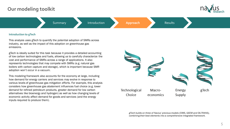# <span id="page-4-0"></span>**Our modeling toolkit**



[Summary](#page-1-0) **[Approach](#page-4-0)** Results

### **Introduction to gTech**

This analysis uses gTech to quantify the potential adoption of SMRs across industry, as well as the impact of this adoption on greenhouse gas emissions.

gTech is ideally suited for this task because it provides a detailed accounting of low carbon technologies and fuels, allowing us to carefully characterize the cost and performance of SMRs across a range of applications. It also represents technologies that may compete with SMRs (e.g. natural gas boilers with carbon capture and storage), which is important because SMR adoption won't occur in a vacuum.

This modeling framework also accounts for the economy at large, including how demand for energy carriers and services may evolve in response to various levels of greenhouse gas mitigation efforts. For example, this analysis considers how greenhouse gas abatement influences fuel choice (e.g. lower demand for refined petroleum products, greater demand for low carbon alternatives like bioenergy and hydrogen) as well as how changing levels of economic activity affect demand for goods and services (and the energy inputs required to produce them).



*gTech builds on three of Navius' previous models (CIMS, GEEM and OILTRANS), combining their best elements into a comprehensive integrated framework.*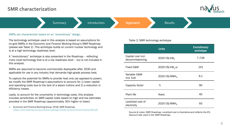### **SMR characterization**



[Summary](#page-1-0) **[Approach](#page-4-0)** Results

#### SMRs are characterized based on an "evolutionary" design.

The technology archetype used in this analysis is based on assumptions for on-grid SMRs in the Economic and Finance Working Group's SMR Roadmap (please see Table 2). This archetype builds on current nuclear technology and is at a high technology readiness level.

A "revolutionary" archetype is also presented in the Roadmap – reflecting more novel technology that is at a low readiness level – but is not included in this analysis.

SMRs are assumed to become commercially deployable after 2030 and applicable for use in any industry that demands high-grade process heat.

To capture the potential for SMRs to provide heat only (as opposed to power), we modify the SMR Roadmap's assumptions to account for 1) lower capital and operating costs due to the lack of a steam turbine and 2) a reduction in efficiency losses.

Lastly, to account for the uncertainty in technology costs, this analysis includes sensitivities on SMR capital costs based on high and low estimates provided in the SMR Roadmap (approximately 30% higher or lower).

1. Economic and Finance Working Group. 2018. SMR Roadmap. <https://smrroadmap.ca/wp-content/uploads/2018/12/Economics-Finance-WG.pdf>

#### Table 2: SMR technology archetype

|                                       | <b>Units</b>                 | <b>Evolutionary</b><br>archetype |
|---------------------------------------|------------------------------|----------------------------------|
| Capital cost incl.<br>decommissioning | 2020 C\$/kW <sub>e</sub>     | 7,728                            |
| Fixed O&M                             | 2020 C\$/kW <sub>a</sub> -yr | 151                              |
| Variable O&M<br>incl. fuel            | 2020 C\$/MWh                 | 9.1                              |
| Capacity factor                       | %                            | 90                               |
| <b>Plant life</b>                     | Years                        | 40                               |
| Levelized cost of<br>electricity      | 2020 C\$/MWh                 | 93                               |

*Source & notes: SMR Roadmap. Levelized cost is illustrative and reflects the 6% discount rate used in the SMR Roadmap.*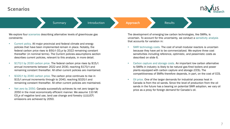

[Summary](#page-1-0) **[Approach](#page-4-0)** Results

We explore four scenarios describing alternative levels of greenhouse gas constraints:

- Current policy. All major provincial and federal climate and energy policies that have been implemented remain in place. Notably, the federal carbon price rises to  $$50/t$  CO<sub>2</sub>e by 2022 remaining constant thereafter (in nominal terms). The Current policies assumptions section describes current policies, relevant to this analysis, in more detail.
- \$170/t by 2030 carbon price. The federal carbon price rises by \$15/t annual increments between 2022 and 2030, reaching \$170/t and remaining constant thereafter. All other current policies are maintained.
- \$320/t by 2040 carbon price. The carbon price continues to rise in \$15/t annual increments through to 2040, reaching \$320/t and remaining constant thereafter. All other current policies are maintained.
- Net zero by 2050. Canada successfully achieves its net zero target by 2050 in the most economically efficient manner. We assume 110 Mt  $CO<sub>2</sub>e$  of negative land use, land use change and forestry (LULUCF) emissions are achieved by 2050.

The development of emerging low carbon technologies, like SMRs, is uncertain. To account for this uncertainty, we conduct a sensitivity analysis that accounts for variation in:

- SMR technology costs. The cost of small modular reactors is uncertain because they have yet to be commercialized. We explore three cost sensitivities including reference, optimistic, and pessimistic costs as described on slide 6.
- Carbon capture and storage costs. An important low carbon alternative to SMRs in industry is likely to be natural gas-fired boilers and power plants equipped with carbon capture and storage (CCS). The competitiveness of SMRs therefore depends, in part, on the cost of CCS.
- Oil price. One of the larger demands for industrial process heat in Canada is from the oil sands. Since the level of production from the oil sands in the future has a bearing on potential SMR adoption, we vary oil price as a proxy for foreign demand for Canada's oil.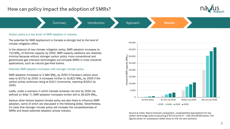# **How can policy impact the adoption of SMRs?**



**I[Summary](#page-1-0) 2008** [Introduction](#page-3-0) **[Approach](#page-4-0) Approach** [Results](#page-8-0)

### Carbon policy is a key driver of SMR adoption in industry.

The potential for SMR deployment in Canada is strongly tied to the level of climate mitigation effort.

In the absence of new climate mitigation policy, SMR adoption increases to 713 MW<sub>th</sub> of thermal capacity by 2050. SMR capacity additions are relatively minimal because without stronger carbon policy, more conventional and greenhouse gas intensive technologies out-compete SMRs in most industrial applications, such as natural gas-fired boilers.

Potential SMR adoption increases with stronger climate policy.

SMR adoption increases to 3,384 MW<sub>th</sub> by 2050 if Canada's carbon price rises to \$170/t by 2030. It increases further to  $10,822$  MW<sub>th</sub> by 2050 if the carbon prices continues rising at \$15/t increments, reaching \$320/t by 2040.

Lastly, under a scenario in which Canada achieves net zero by 2050 (as defined on Slide 7), SMR adoption increases further still to  $36.629$  MW<sub>th</sub>.

Various other factors beyond climate policy are also likely to influence SMR adoption, some of which are discussed in the following slides. Nevertheless, it's clear that stronger climate policy will increase the competitiveness of SMRs and boost potential adoption across industry.



*Source & notes: Navius forecast using gTech, using baseline assumptions for low carbon technology costs & assuming a WTI oil price of ~ USD 2015\$ 66/barrel. The figures shown on subsequent slides focus on the net zero scenario.*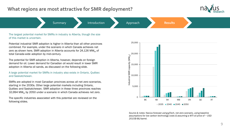### <span id="page-8-0"></span>**What regions are most attractive for SMR deployment?**



**I[Summary](#page-1-0) 2008 [Introduction](#page-3-0) [Approach](#page-4-0) Approach [Results](#page-8-0)** 

The largest potential market for SMRs in industry is Alberta, though the size of this market is uncertain.

Potential industrial SMR adoption is higher in Alberta than all other provinces combined. For example, under the scenario in which Canada achieves net zero as shown here, SMR adoption in Alberta accounts for  $24,126$  MW<sub>th</sub> of total Canada-wide adoption by mid-century.

The potential for SMR adoption in Alberta, however, depends on foreign demand for oil. Lower demand for Canadian oil would result in lower SMR adoption in Alberta oil sands, as discussed on the following slide.

A large potential market for SMRs in industry also exists in Ontario, Québec and Saskatchewan.

SMRs are adopted in most Canadian provinces across all net zero scenarios, starting in the 2030s. Other large potential markets including Ontario, Québec and Saskatchewan. SMR adoption in these three provinces reaches 10,994 MW<sub>th</sub> by 2050 under a scenario in which Canada achieves net zero.

The specific industries associated with this potential are reviewed on the following slides.



*Source & notes: Navius forecast using gTech, net zero scenario, using baseline assumptions for low carbon technology costs & assuming a WTI oil price of ~ USD 2015\$ 66/barrel.*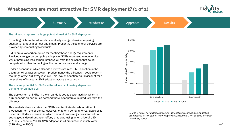### What sectors are most attractive for SMR deployment? (1 of 2)





provided by combusting fossil fuels. SMRs are a low carbon option for meeting these energy requirements.

Provided stronger carbon policy is in place, SMRs represent an economical way of producing less carbon intensive oil from the oil sands that could compete with other technologies like carbon capture and storage.

Under a scenario in which Canada achieves net zero, SMR adoption in the upstream oil extraction sector – predominantly the oil sands – could reach in the range of 22,731 MW<sub>th</sub> in 2050. This level of adoption would account for a large share of industrial SMR adoption across the country.

The market potential for SMRs in the oil sands ultimately depends on demand for Canada's oil.

The deployment of SMRs in the oil sands is tied to sector activity, which in turn depends on how much demand there is for petroleum products from the oil sands.

This analysis demonstrates that SMRs can facilitate decarbonization of production from the oil sands. However, long-term demand for Canada's oil is uncertain. Under a scenario in which demand drops (e.g. consistent with a strong global decarbonization effort, simulated using an oil price of USD 2015\$ 26/barrel in 2050), SMR adoption in oil production is much lower  $(126 \text{ MW}_{th} \text{ in } 2050).$ 



*Source & notes: Navius forecast using gTech, net zero scenario, using baseline assumptions for low carbon technology costs & assuming a WTI oil price of ~ USD 2015\$ 66/barrel.*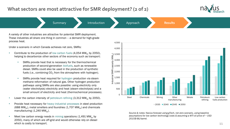## **What sectors are most attractive for SMR deployment? (2 of 2)**





Under a scenario in which Canada achieves net zero, SMRs:

- Contribute to the production of low carbon fuels  $(4,054 \text{ MW}_{th}$  by 2050), helping to decarbonize other sectors of the economy such as transport:
	- SMRs provide heat that is necessary for the thermochemical production of second-generation biofuels, such as renewable diesel. SMRs could also be used in the production of synthetic fuels (i.e., combining CO<sub>2</sub> from the atmosphere with hydrogen).
	- SMRs provide heat required for hydrogen production via steam methane reformation of natural gas. Other hydrogen production pathways using SMRs are also possible: using electricity only (water electrolysis) electricity and heat (steam electrolysis) and a small amount of electricity and heat (thermochemical processes).
- Lower the carbon intensity of petroleum refining  $(3,312 \text{ MW}_{th})$  by 2050).
- Provide heat necessary for heavy industrial processes in steel production (688 MW<sub>th</sub>), metal smelters and foundries (1,707 MW<sub>th</sub>) and chemicals manufacturing  $(1,240 \text{ MW}_{th})$ .
- Meet low carbon energy needs in mining operations  $(1,491 \text{ MW}_{th})$  by 2050), many of which are off-grid and would otherwise rely on diesel which is costly to transport.



 $2035$  2040 2045 2050

*Source & notes: Navius forecast using gTech, net zero scenario, using baseline assumptions for low carbon technology costs & assuming a WTI oil price of ~ USD 2015\$ 66/barrel.*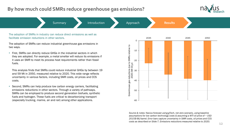## **By how much could SMRs reduce greenhouse gas emissions?**



**[Summary](#page-1-0) and Summary [Approach](#page-4-0) [Results](#page-8-0)** 

The adoption of SMRs in industry can reduce direct emissions as well as facilitate emission reductions in other sectors.

The adoption of SMRs can reduce industrial greenhouse gas emissions in two ways.

• First, SMRs can directly reduce GHGs in the industrial sectors in which they are adopted. For example, a metal smelter will reduce its emissions if it uses an SMR to meet its process heat requirements rather than fossil fuels.

This analysis finds that SMRs could reduce industrial GHGs by between 19 and 59 Mt in 2050, measured relative to 2020. This wide range reflects uncertainty in various factors, including SMR costs, oil prices and CCS costs.

• Second, SMRs can help produce low carbon energy carriers, facilitating emissions reductions in other sectors. Through a variety of pathways, SMRs can be employed to produce second generation biofuels, synthetic fuels and hydrogen. These fuels are critical to decarbonizing transport (especially trucking, marine, air and rail) among other applications.



*Source & notes: Navius forecast using gTech, net zero scenario, using baseline assumptions for low carbon technology costs & assuming a WTI oil price of ~ USD 2015\$ 66/barrel. Error bars capture uncertainty in SMR costs, oil prices and CCS costs as described on Slide 7. Emissions reductions measured relative to 2020.*